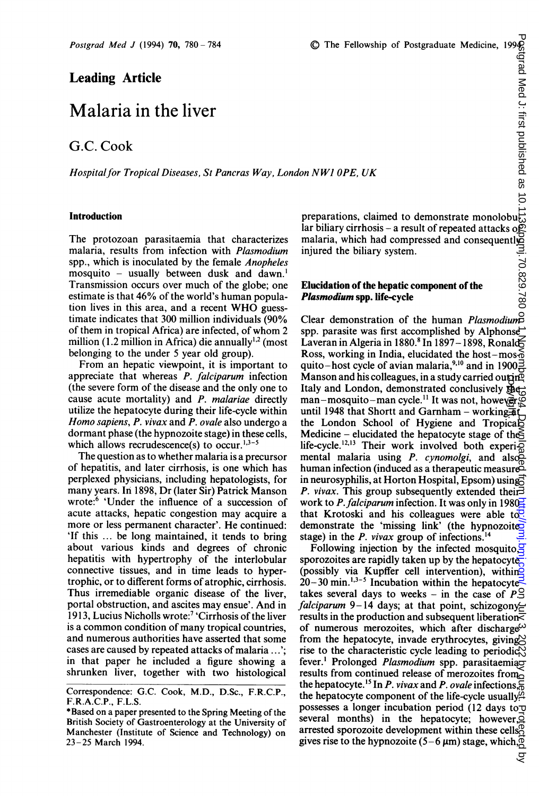# Leading Article

# Malaria in the liver

## G.C. Cook

Hospital for Tropical Diseases, St Pancras Way, London NW1 OPE, UK

## Introduction

The protozoan parasitaemia that characterizes malaria, results from infection with Plasmodium spp., which is inoculated by the female Anopheles mosquito – usually between dusk and dawn.<sup>1</sup> Transmission occurs over much of the globe; one estimate is that 46% of the world's human population lives in this area, and <sup>a</sup> recent WHO guesstimate indicates that 300 million individuals (90% of them in tropical Africa) are infected, of whom <sup>2</sup> million (1.2 million in Africa) die annually $^{1,2}$  (most belonging to the under 5 year old group).

From an hepatic viewpoint, it is important to appreciate that whereas P. falciparum infection (the severe form of the disease and the only one to cause acute mortality) and P. malariae directly utilize the hepatocyte during their life-cycle within Homo sapiens, P. vivax and P. ovale also undergo <sup>a</sup> dormant phase (the hypnozoite stage) in these cells, which allows recrudescence(s) to occur.<sup>1,3-5</sup>

The question as to whether malaria is a precursor of hepatitis, and later cirrhosis, is one which has perplexed physicians, including hepatologists, for many years. In 1898, Dr (later Sir) Patrick Manson wrote:6 'Under the influence of a succession of acute attacks, hepatic congestion may acquire a more or less permanent character'. He continued: 'If this ... be long maintained, it tends to bring about various kinds and degrees of chronic hepatitis with hypertrophy of the interlobular connective tissues, and in time leads to hypertrophic, or to different forms of atrophic, cirrhosis. Thus irremediable organic disease of the liver, portal obstruction, and ascites may ensue'. And in 1913, Lucius Nicholls wrote:7 'Cirrhosis of the liver is a common condition of many tropical countries, and numerous authorities have asserted that some cases are caused by repeated attacks of malaria ...'; in that paper he included a figure showing a shrunken liver, together with two histological

preparations, claimed to demonstrate monolobu<sub>t</sub> lar biliary cirrhosis – a result of repeated attacks of malaria, which had compressed and consequently injured the biliary system.

#### Elucidation of the hepatic component of the Plasmodium spp. life-cycle

Clear demonstration of the human *Plasmodium* spp. parasite was first accomplished by Alphonse Laveran in Algeria in 1880.<sup>8</sup> In 1897 - 1898, Ronald Ross, working in India, elucidated the host-mos- $\delta$ quito-host cycle of avian malaria,<sup>9,10</sup> and in 1900 $\frac{3}{2}$ Manson and his colleagues, in a study carried out in  $\mathbb{Z}$ Italy and London, demonstrated conclusively  $\mathbb{Z}$ man-mosquito-man cycle.<sup>11</sup> It was not, however,  $\circledcirc$ manson and his colleagues, in a study carried out<br>
Italy and London, demonstrated conclusively the<br>
man–mosquito–man cycle.<sup>11</sup> It was not, howevery the London School of Hygiene and Tropical Medicine – elucidated the hepatocyte stage of the life-cycle.<sup>12,13</sup> Their work involved both experi $\bar{Q}$ mental malaria using P. cynomolgi, and alsohuman infection (induced as a therapeutic measure in neurosyphilis, at Horton Hospital, Epsom) using P. vivax. This group subsequently extended their. work to P. falciparum infection. It was only in 1980 $\frac{1}{2}$ that Krotoski and his colleagues were able to  $\overline{c}$ . demonstrate the 'missing link' (the hypnozoited stage) in the *P. vivax* group of infections.<sup>14</sup>

Following injection by the infected mosquito. sporozoites are rapidly taken up by the hepatocyte (possibly via Kupffer cell intervention), within $\breve{\mathcal{Q}}$  $20-30$  min.<sup>1,3-5</sup> Incubation within the hepatocyte<sup>-</sup> takes several days to weeks - in the case of  $P \trianglelefteq$ falciparum 9-14 days; at that point, schizogony results in the production and subsequent liberation $\bar{\bar{z}}$ of numerous merozoites, which after discharge<sup> $\omega$ </sup> from the hepatocyte, invade erythrocytes, giving rise to the characteristic cycle leading to periodic $\aleph$ fever.<sup>1</sup> Prolonged Plasmodium spp. parasitaemiao results from continued release of merozoites from the hepatocyte.<sup>15</sup> In *P. vivax* and *P. ovale* infections,  $\frac{1}{60}$ the hepatocyte component of the life-cycle usually possesses a longer incubation period (12 days to several months) in the hepatocyte; however, $\vec{Q}$ arrested sporozoite development within these cells<sup>®</sup> gives rise to the hypnozoite (5-6  $\mu$ m) stage, which,  $\overline{Q}$ 

्ट

Correspondence: G.C. Cook, M.D., D.Sc., F.R.C.P., F.R.A.C.P., F.L.S.

<sup>\*</sup>Based on a paper presented to the Spring Meeting of the British Society of Gastroenterology at the University of Manchester (Institute of Science and Technology) on 23-25 March 1994.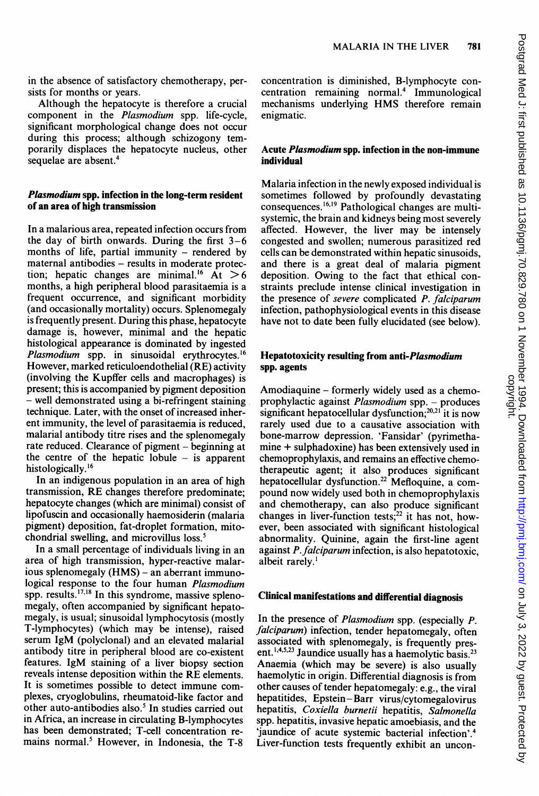in the absence of satisfactory chemotherapy, persists for months or years.

Although the hepatocyte is therefore a crucial component in the Plasmodium spp. life-cycle, significant morphological change does not occur during this process; although schizogony temporarily displaces the hepatocyte nucleus, other sequelae are absent.4

## Plasmodium spp. infection in the long-term resident of an area of high transmission

In a malarious area, repeated infection occurs from the day of birth onwards. During the first  $3-6$ months of life, partial immunity  $-$  rendered by maternal antibodies - results in moderate protection; hepatic changes are minimal.<sup>16</sup> At  $>6$ months, a high peripheral blood parasitaemia is a frequent occurrence, and significant morbidity (and occasionally mortality) occurs. Splenomegaly is frequently present. During this phase, hepatocyte damage is, however, minimal and the hepatic histological appearance is dominated by ingested Plasmodium spp. in sinusoidal erythrocytes.<sup>16</sup> However, marked reticuloendothelial (RE) activity (involving the Kupffer cells and macrophages) is present; this is accompanied by pigment deposition - well demonstrated using a bi-refringent staining technique. Later, with the onset of increased inherent immunity, the level of parasitaemia is reduced, malarial antibody titre rises and the splenomegaly rate reduced. Clearance of pigment – beginning at the centre of the hepatic lobule  $-$  is apparent histologically.<sup>16</sup>

In an indigenous population in an area of high transmission, RE changes therefore predominate; hepatocyte changes (which are minimal) consist of lipofuscin and occasionally haemosiderin (malaria pigment) deposition, fat-droplet formation, mitochondrial swelling, and microvillus loss.5

In a small percentage of individuals living in an area of high transmission, hyper-reactive malarious splenomegaly (HMS) – an aberrant immunological response to the four human *Plasmodium* spp. results. $17,18$  In this syndrome, massive splenomegaly, often accompanied by significant hepatomegaly, is usual; sinusoidal lymphocytosis (mostly T-lymphocytes) (which may be intense), raised serum IgM (polyclonal) and an elevated malarial antibody titre in peripheral blood are co-existent features. IgM staining of a liver biopsy section reveals intense deposition within the RE elements. It is sometimes possible to detect immune complexes, cryoglobulins, rheumatoid-like factor and other auto-antibodies also.<sup>5</sup> In studies carried out in Africa, an increase in circulating B-lymphocytes has been demonstrated; T-cell concentration remains normal.<sup>5</sup> However, in Indonesia, the T-8

concentration is diminished, B-lymphocyte concentration remaining normal.<sup>4</sup> Immunological mechanisms underlying HMS therefore remain enigmatic.

## Acute Plasmodium spp. infection in the non-immune individual

Malaria infection in the newly exposed individual is sometimes followed by profoundly devastating consequences.<sup>16,19</sup> Pathological changes are multisystemic, the brain and kidneys being most severely affected. However, the liver may be intensely congested and swollen; numerous parasitized red cells can be demonstrated within hepatic sinusoids, and there is a great deal of malaria pigment deposition. Owing to the fact that ethical constraints preclude intense clinical investigation in the presence of severe complicated P. falciparum infection, pathophysiological events in this disease have not to date been fully elucidated (see below).

## Hepatotoxicity resulting from anti-Plasmodium spp. agents

Amodiaquine - formerly widely used as a chemoprophylactic against Plasmodium spp. - produces significant hepatocellular dysfunction; $^{20,21}$  it is now rarely used due to a causative association with bone-marrow depression. 'Fansidar' (pyrimethamine + sulphadoxine) has been extensively used in chemoprophylaxis, and remains an effective chemotherapeutic agent; it also produces significant hepatocellular dysfunction.<sup>22</sup> Mefloquine, a compound now widely used both in chemoprophylaxis and chemotherapy, can also produce significant changes in liver-function tests; $^{22}$  it has not, however, been associated with significant histological abnormality. Quinine, again the first-line agent against P.falciparum infection, is also hepatotoxic, albeit rarely.'

## Clinical manifestations and differential diagnosis

In the presence of Plasmodium spp. (especially P. falciparum) infection, tender hepatomegaly, often associated with splenomegaly, is frequently present.<sup>1,4,5,23</sup> Jaundice usually has a haemolytic basis.<sup>23</sup> Anaemia (which may be severe) is also usually haemolytic in origin. Differential diagnosis is from other causes of tender hepatomegaly: e.g., the viral hepatitides, Epstein-Barr virus/cytomegalovirus hepatitis, Coxiella burnetii hepatitis, Salmonella spp. hepatitis, invasive hepatic amoebiasis, and the 'jaundice of acute systemic bacterial infection'.4 Liver-function tests frequently exhibit an uncon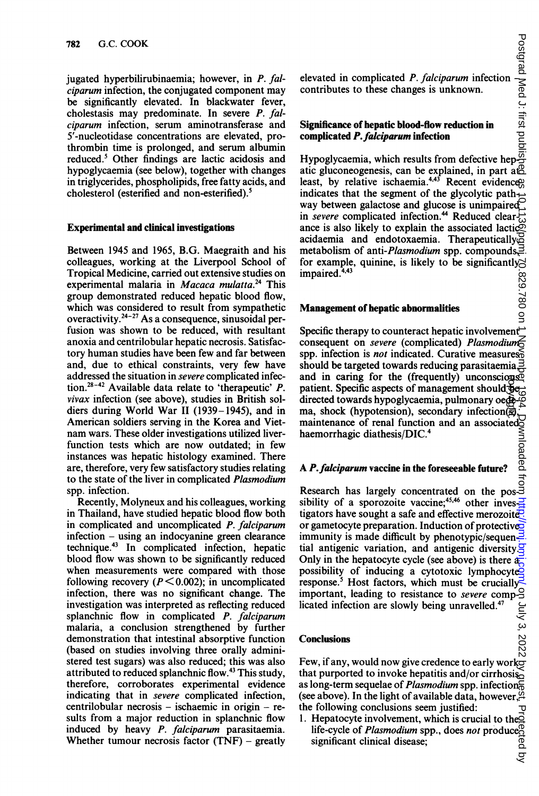jugated hyperbilirubinaemia; however, in P. falciparum infection, the conjugated component may be significantly elevated. In blackwater fever, cholestasis may predominate. In severe P. falciparum infection, serum aminotransferase and 5'-nucleotidase concentrations are elevated, prothrombin time is prolonged, and serum albumin reduced.5 Other findings are lactic acidosis and hypoglycaemia (see below), together with changes in triglycerides, phospholipids, free fatty acids, and cholesterol (esterified and non-esterified).5

## Experimental and clinical investigations

Between 1945 and 1965, B.G. Maegraith and his colleagues, working at the Liverpool School of Tropical Medicine, carried out extensive studies on experimental malaria in Macaca mulatta.<sup>24</sup> This group demonstrated reduced hepatic blood flow, which was considered to result from sympathetic overactivity. $2^{4-27}$  As a consequence, sinusoidal perfusion was shown to be reduced, with resultant anoxia and centrilobular hepatic necrosis. Satisfactory human studies have been few and far between and, due to ethical constraints, very few have addressed the situation in severe complicated infection.<sup>28-42</sup> Available data relate to 'therapeutic' P. vivax infection (see above), studies in British soldiers during World War II (1939-1945), and in American soldiers serving in the Korea and Vietnam wars. These older investigations utilized liverfunction tests which are now outdated; in few instances was hepatic histology examined. There are, therefore, very few satisfactory studies relating to the state of the liver in complicated Plasmodium spp. infection.

Recently, Molyneux and his colleagues, working in Thailand, have studied hepatic blood flow both in complicated and uncomplicated P. falciparum infection - using an indocyanine green clearance technique.43 In complicated infection, hepatic blood flow was shown to be significantly reduced when measurements were compared with those following recovery ( $P \le 0.002$ ); in uncomplicated infection, there was no significant change. The investigation was interpreted as reflecting reduced splanchnic flow in complicated P. falciparum malaria, a conclusion strengthened by further demonstration that intestinal absorptive function (based on studies involving three orally administered test sugars) was also reduced; this was also attributed to reduced splanchnic flow.43 This study, therefore, corroborates experimental evidence indicating that in severe complicated infection,  $centrilobular$  necrosis – ischaemic in origin – results from a major reduction in splanchnic flow induced by heavy P. falciparum parasitaemia. Whether tumour necrosis factor  $(TNF)$  – greatly

elevated in complicated P. falciparum infection  $-\frac{1}{3}$ contributes to these changes is unknown.

## Significance of hepatic blood-flow reduction in complicated P.falciparum infection

Hypoglycaemia, which results from defective hepatic gluconeogenesis, can be explained, in part at least, by relative ischaemia. $4,43$  Recent evidence<sup>0</sup> indicates that the segment of the glycolytic pathway between galactose and glucose is unimpaired in *severe* complicated infection.<sup>44</sup> Reduced clearance is also likely to explain the associated lactic acidaemia and endotoxaemia. Therapeutically, metabolism of anti-*Plasmodium* spp. compounds $\exists$ . for example, quinine, is likely to be significantly. impaired.<sup>4,43</sup>

## Management of hepatic abnormalities

Specific therapy to counteract hepatic involvement consequent on severe (complicated) Plasmodium spp. infection is *not* indicated. Curative measures $\delta$ should be targeted towards reducing parasitaemia, $\exists$ and in caring for the (frequently) unconscious  $\delta$ patient. Specific aspects of management should  $\overline{\mathbf{e}}$ directed towards hypoglycaemia, pulmonary oedema, shock (hypotension), secondary infection(g), maintenance of renal function and an associated haemorrhagic diathesis/DIC.<sup>4</sup> copyright.

## A P. falciparum vaccine in the foreseeable future?

Research has largely concentrated on the pos-3<br>sibility of a spectrum sibility of a sporozoite vaccine;<sup>45,46</sup> other inves- $\Xi$ tigators have sought a safe and effective merozoite $\ddot{e}$ . or gametocyte preparation. Induction of protective immunity is made difficult by phenotypic/sequential antigenic variation, and antigenic diversity. $\overline{S}$ Only in the hepatocyte cycle (see above) is there  $a_{\overline{i}}$ possibility of inducing a cytotoxic lymphocyte<br>response.<sup>5</sup> Host factors, which must be crucially response. Host factors, which must be crucially important, leading to resistance to *severe* complicated infection are slowly being unravelled.<sup>47</sup>

#### Conclusions

Few, if any, would now give credence to early work that purported to invoke hepatitis and/or cirrhosiso as long-term sequelae of *Plasmodium* spp. infection $\frac{2}{5}$ (see above). In the light of available data, however, the following conclusions seem justified:

1. Hepatocyte involvement, which is crucial to the  $\overline{Q}$ life-cycle of *Plasmodium* spp., does not produce significant clinical disease;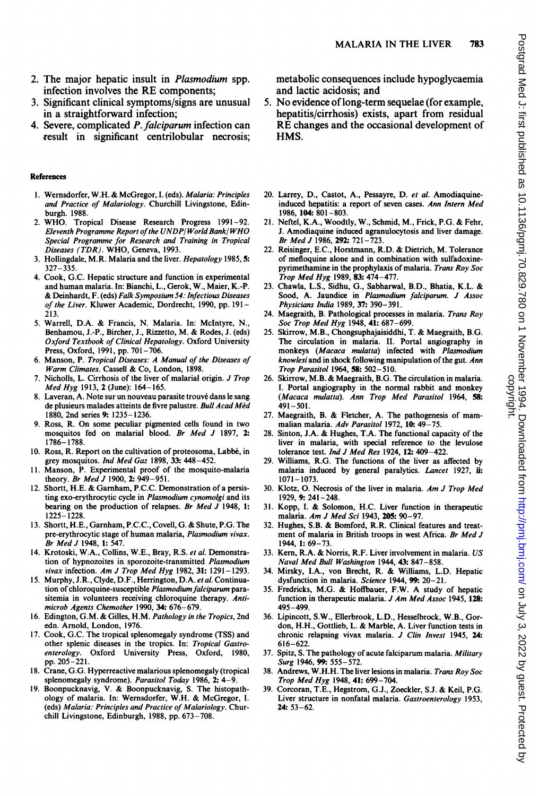- infection involves the RE components; 3. Significant clinical symptoms/signs are unusual in a straightforward infection;
- 4. Severe, complicated P. falciparum infection can result in significant centrilobular necrosis;

#### References

- 1. Wernsdorfer, W.H. & McGregor, I. (eds). Malaria: Principles and Practice of Malariology. Churchill Livingstone, Edinburgh. 1988.
- 2. WHO. Tropical Disease Research Progress 1991-92. Eleventh Programme Report of the UNDP/World Bank/WHO Special Programme for Research and Training in Tropical Diseases (TDR). WHO, Geneva, 1993.
- 3. Hollingdale, M.R. Malaria and the liver. Hepatology 1985, 5: 327-335.
- 4. Cook, G.C. Hepatic structure and function in experimental and human malaria. In: Bianchi, L., Gerok, W., Maier, K.-P. & Deinhardt, F. (eds) Falk Symposium 54: Infectious Diseases of the Liver. Kluwer Academic, Dordrecht, 1990, pp. 191- 213.
- 5. Warrell, D.A. & Francis, N. Malaria. In: McIntyre, N., Benhamou, J.-P., Bircher, J., Rizzetto, M. & Rodes, J. (eds) Oxford Textbook of Clinical Hepatology. Oxford University Press, Oxford, 1991, pp. 701-706.
- 6. Manson, P. Tropical Diseases: A Manual of the Diseases of Warm Climates. Cassell & Co, London, 1898.
- 7. Nicholls, L. Cirrhosis of the liver of malarial origin. J Trop Med Hyg 1913, 2 (June): 164-165.
- 8. Laveran, A. Note sur un nouveau parasite trouvé dans le sang de plusieurs malades atteints de fivre palustre. Bull Acad Méd 1880, 2nd series 9: 1235-1236.
- 9. Ross, R. On some peculiar pigmented cells found in two mosquitos fed on malarial blood. Br Med J 1897, 2: 1786-1788.
- 10. Ross, R. Report on the cultivation of proteosoma, Labbe, in grey mosquitos. Ind Med Gaz 1898, 33: 448-452.
- 11. Manson, P. Experimental proof of the mosquito-malaria theory. Br Med J 1900, 2: 949-951.
- 12. Shortt, H.E. & Garnham, P.C.C. Demonstration of <sup>a</sup> persisting exo-erythrocytic cycle in Plasmodium cynomolgi and its bearing on the production of relapses. Br Med J 1948, 1: 1225-1228.
- 13. Shortt, H.E., Garnham, P.C.C., Covell, G. & Shute, P.G. The pre-erythrocytic stage of human malaria, Plasmodium vivax. Br Med J 1948, 1: 547.
- 14. Krotoski, W.A., Collins, W.E., Bray, R.S. et al. Demonstration of hypnozoites in sporozoite-transmitted Plasmodium vivax infection. Am J Trop Med Hyg 1982, 31: 1291-1293.
- 15. Murphy, J.R., Clyde, D.F., Herrington, D.A. et al. Continuation of chloroquine-susceptible Plasmodium falciparum parasitemia in volunteers receiving chloroquine therapy. Antimicrob Agents Chemother 1990, 34: 676-679.
- 16. Edington, G.M. & Gilles, H.M. Pathology in the Tropics, 2nd edn. Arnold, London, 1976.
- 17. Cook, G.C. The tropical splenomegaly syndrome (TSS) and other splenic diseases in the tropics. In: Tropical Gastroenterology. Oxford University Press, Oxford, 1980, pp. 205-221.
- 18. Crane, G.G. Hyperreactive malarious splenomegaly (tropical splenomegaly syndrome). Parasitol Today 1986, 2: 4-9.
- 19. Boonpucknavig, V. & Boonpucknavig, S. The histopathology of malaria. In: Wernsdorfer, W.H. & McGregor, 1. (eds) Malaria: Principles and Practice of Malariology. Churchill Livingstone, Edinburgh, 1988, pp. 673-708.

metabolic consequences include hypoglycaemia and lactic acidosis; and

- 5. No evidence of long-term sequelae (for example, hepatitis/cirrhosis) exists, apart from residual RE changes and the occasional development of HMS.
- 20. Larrey, D., Castot, A., Pessayre, D. et al. Amodiaquineinduced hepatitis: a report of seven cases. Ann Intern Med 1986, 104: 801-803.
- 21. Neftel, K.A., Woodtly, W., Schmid, M., Frick, P.G. & Fehr, J. Amodiaquine induced agranulocytosis and liver damage. Br Med J 1986, 292: 721-723.
- 22. Reisinger, E.C., Horstmann, R.D. & Dietrich, M. Tolerance of mefloquine alone and in combination with sulfadoxinepyrimethamine in the prophylaxis of malaria. Trans Roy Soc Trop Med Hyg 1989, 83: 474-477.
- 23. Chawla, L.S., Sidhu, G., Sabharwal, B.D., Bhatia, K.L. & Sood, A. Jaundice in Plasmodium falciparum. J Assoc Physicians India 1989, 37: 390-391.
- 24. Maegraith, B. Pathological processes in malaria. Trans Roy Soc Trop Med Hyg 1948, 41: 687-699.
- 25. Skirrow, M.B., Chongsuphajaisiddhi, T. & Maegraith, B.G. The circulation in malaria. II. Portal angiography in monkeys (Macaca mulatta) infected with Plasmodium knowlesi and in shock following manipulation of the gut. Ann Trop Parasitol 1964, 58: 502-510.
- 26. Skirrow, M.B. & Maegraith, B.G. The circulation in malaria. I. Portal angiography in the normal rabbit and monkey (Macaca mulatta). Ann Trop Med Parasitol 1964, 58: 491-501.
- 27. Maegraith, B. & Fletcher, A. The pathogenesis of mammalian malaria. Adv Parasitol 1972, 10: 49-75.
- 28. Sinton, J.A. & Hughes, T.A. The functional capacity of the liver in malaria, with special reference to the levulose tolerance test. Ind J Med Res 1924, 12: 409-422.
- 29. Williams, R.G. The functions of the liver as affected by malaria induced by general paralytics. Lancet 1927, ii: 1071- 1073.
- 30. Klotz, 0. Necrosis of the liver in malaria. Am J Trop Med 1929, 9: 241-248.
- 31. Kopp, I. & Solomon, H.C. Liver function in therapeutic malaria. Am J Med Sci 1943, 205: 90-97.
- 32. Hughes, S.B. & Bomford, R.R. Clinical features and treatment of malaria in British troops in west Africa. Br Med J 1944, 1: 69-73.
- 33. Kern, R.A. & Norris, R.F. Liver involvement in malaria. US Naval Med Bull Washington 1944, 43: 847-858.
- 34. Mirsky, I.A., von Brecht, R. & Williams, L.D. Hepatic dysfunction in malaria. Science 1944, 99: 20-21.
- 35. Fredricks, M.G. & Hoffbauer, F.W. A study of hepatic function in therapeutic malaria. J Am Med Assoc 1945, 128: 495-499.
- 36. Lipincott, S.W., Ellerbrook, L.D., Hesselbrock, W.B., Gordon, H.H., Gottlieb, L. & Marble, A. Liver function tests in chronic relapsing vivax malaria. J Clin Invest 1945, 24: 616-622.
- 37. Spitz, S. The pathology of acute falciparum malaria. Military Surg 1946, 99: 555-572.
- 38. Andrews, W.H.H. The liver lesions in malaria. Trans Roy Soc Trop Med Hyg 1948, 41: 699-704.
- 39. Corcoran, T.E., Hegstrom, G.J., Zoeckler, S.J. & Keil, P.G. Liver structure in nonfatal malaria. Gastroenterology 1953, 24: 53-62.